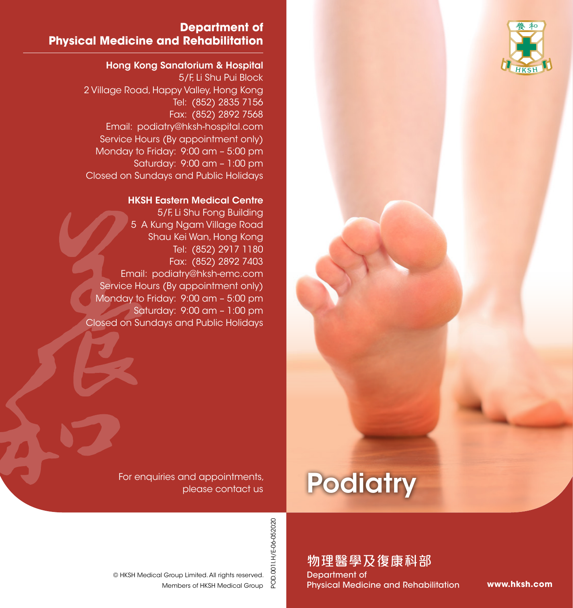

### **Department of Physical Medicine and Rehabilitation**

#### Hong Kong Sanatorium & Hospital

5/F, Li Shu Pui Block 2 Village Road, Happy Valley, Hong Kong Tel: (852) 2835 7156 Fax: (852) 2892 7568 Email: podiatry@hksh-hospital.com Service Hours (By appointment only) Monday to Friday: 9:00 am – 5:00 pm Saturday: 9:00 am – 1:00 pm Closed on Sundays and Public Holidays

#### HKSH Eastern Medical Centre

5/F, Li Shu Fong Building 5 A Kung Ngam Village Road Shau Kei Wan, Hong Kong Tel: (852) 2917 1180 Fax: (852) 2892 7403 Email: podiatry@hksh-emc.com Service Hours (By appointment only) Monday to Friday: 9:00 am – 5:00 pm Saturday: 9:00 am – 1:00 pm Closed on Sundays and Public Holidays

> For enquiries and appointments, please contact us

© HKSH Medical Group Limited. All rights reserved.

Members of HKSH Medical Group

# **Podiatry**

POD.001 I.H/E-06-052020 POD.001I.H/E-06-052020

物理醫學及復康科部

Department of Physical Medicine and Rehabilitation

**www.hksh.com**